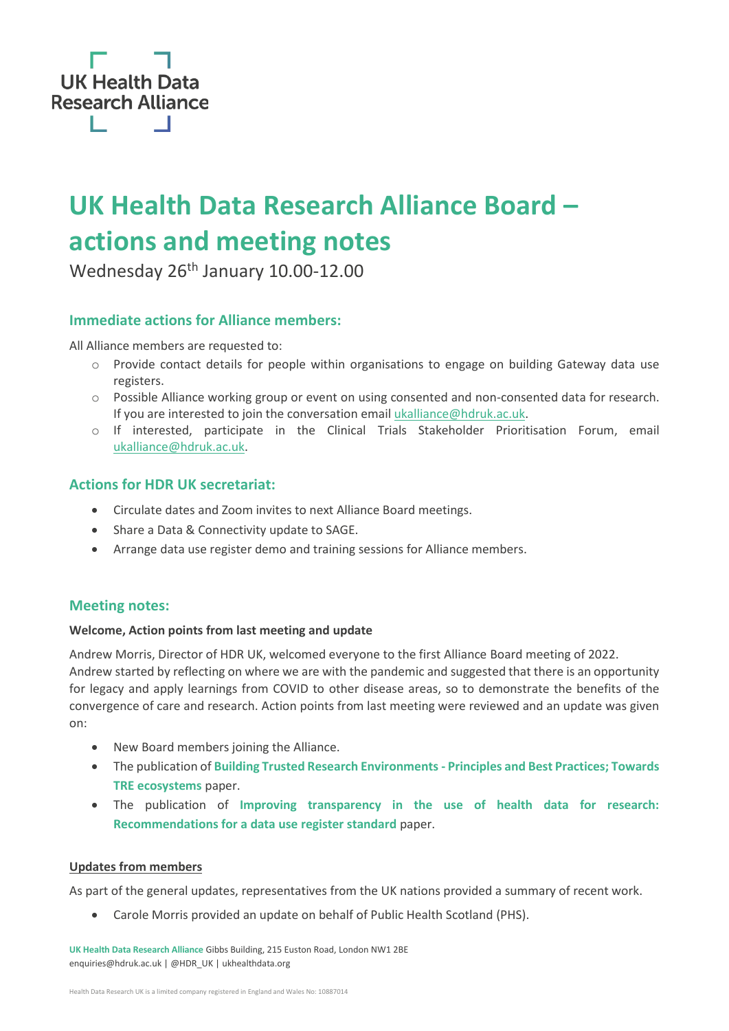

## **UK Health Data Research Alliance Board – actions and meeting notes**

Wednesday 26<sup>th</sup> January 10.00-12.00

#### **Immediate actions for Alliance members:**

All Alliance members are requested to:

- o Provide contact details for people within organisations to engage on building Gateway data use registers.
- o Possible Alliance working group or event on using consented and non-consented data for research. If you are interested to join the conversation email [ukalliance@hdruk.ac.uk.](mailto:ukalliance@hdruk.ac.uk)
- o If interested, participate in the Clinical Trials Stakeholder Prioritisation Forum, email [ukalliance@hdruk.ac.uk.](mailto:ukalliance@hdruk.ac.uk)

#### **Actions for HDR UK secretariat:**

- Circulate dates and Zoom invites to next Alliance Board meetings.
- Share a Data & Connectivity update to SAGE.
- Arrange data use register demo and training sessions for Alliance members.

#### **Meeting notes:**

#### **Welcome, Action points from last meeting and update**

Andrew Morris, Director of HDR UK, welcomed everyone to the first Alliance Board meeting of 2022. Andrew started by reflecting on where we are with the pandemic and suggested that there is an opportunity for legacy and apply learnings from COVID to other disease areas, so to demonstrate the benefits of the convergence of care and research. Action points from last meeting were reviewed and an update was given on:

- New Board members joining the Alliance.
- The publication of **[Building Trusted Research Environments -](https://zenodo.org/record/5767586#.YffYRJrP3IV) Principles and Best Practices; Towards [TRE ecosystems](https://zenodo.org/record/5767586#.YffYRJrP3IV)** paper.
- The publication of **[Improving transparency in the use of health data for research:](https://zenodo.org/record/5902743#.YfEey-rP02w)  [Recommendations for a data use register standard](https://zenodo.org/record/5902743#.YfEey-rP02w)** paper.

#### **Updates from members**

As part of the general updates, representatives from the UK nations provided a summary of recent work.

• Carole Morris provided an update on behalf of Public Health Scotland (PHS).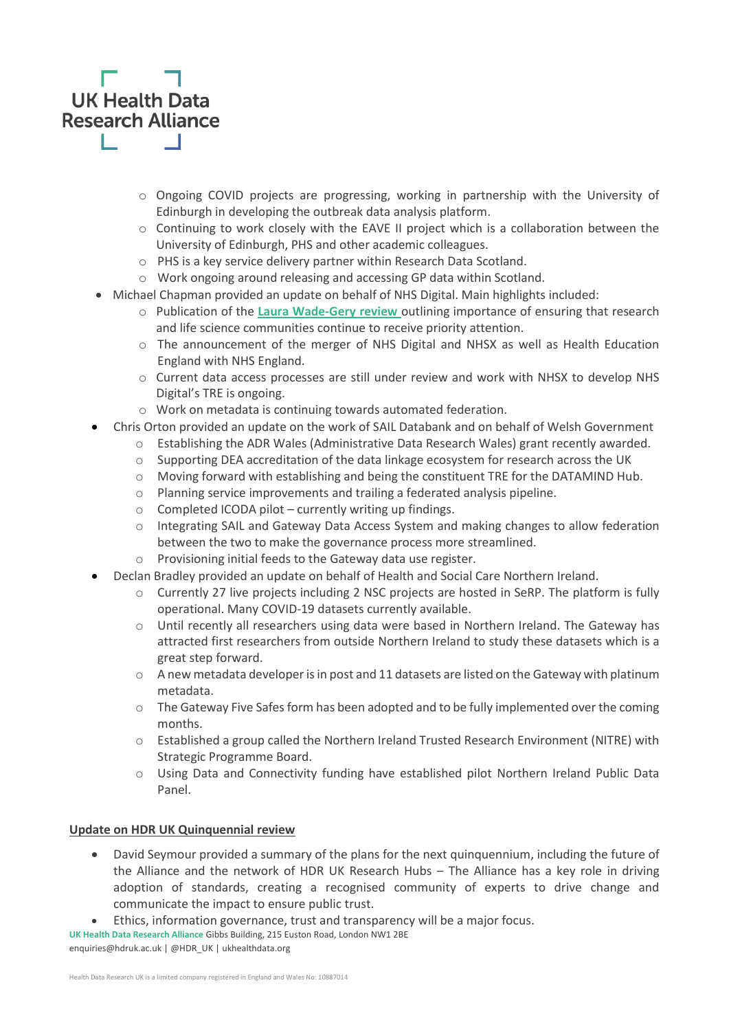# **UK Health Data Research Alliance**

- o Ongoing COVID projects are progressing, working in partnership with the University of Edinburgh in developing the outbreak data analysis platform.
- $\circ$  Continuing to work closely with the EAVE II project which is a collaboration between the University of Edinburgh, PHS and other academic colleagues.
- o PHS is a key service delivery partner within Research Data Scotland.
- o Work ongoing around releasing and accessing GP data within Scotland.
- Michael Chapman provided an update on behalf of NHS Digital. Main highlights included:
	- o Publication of the **[Laura Wade-Gery review](https://www.gov.uk/government/publications/putting-data-digital-and-tech-at-the-heart-of-transforming-the-nhs)** outlining importance of ensuring that research and life science communities continue to receive priority attention.
	- $\circ$  The announcement of the merger of NHS Digital and NHSX as well as Health Education England with NHS England.
	- o Current data access processes are still under review and work with NHSX to develop NHS Digital's TRE is ongoing.
	- o Work on metadata is continuing towards automated federation.
- Chris Orton provided an update on the work of SAIL Databank and on behalf of Welsh Government
	- o Establishing the ADR Wales (Administrative Data Research Wales) grant recently awarded.
	- $\circ$  Supporting DEA accreditation of the data linkage ecosystem for research across the UK
	- $\circ$  Moving forward with establishing and being the constituent TRE for the DATAMIND Hub.
	- o Planning service improvements and trailing a federated analysis pipeline.
	- o Completed ICODA pilot currently writing up findings.
	- o Integrating SAIL and Gateway Data Access System and making changes to allow federation between the two to make the governance process more streamlined.
	- o Provisioning initial feeds to the Gateway data use register.
- Declan Bradley provided an update on behalf of Health and Social Care Northern Ireland.
	- o Currently 27 live projects including 2 NSC projects are hosted in SeRP. The platform is fully operational. Many COVID-19 datasets currently available.
	- o Until recently all researchers using data were based in Northern Ireland. The Gateway has attracted first researchers from outside Northern Ireland to study these datasets which is a great step forward.
	- $\circ$  A new metadata developer is in post and 11 datasets are listed on the Gateway with platinum metadata.
	- $\circ$  The Gateway Five Safes form has been adopted and to be fully implemented over the coming months.
	- o Established a group called the Northern Ireland Trusted Research Environment (NITRE) with Strategic Programme Board.
	- o Using Data and Connectivity funding have established pilot Northern Ireland Public Data Panel.

#### **Update on HDR UK Quinquennial review**

- David Seymour provided a summary of the plans for the next quinquennium, including the future of the Alliance and the network of HDR UK Research Hubs – The Alliance has a key role in driving adoption of standards, creating a recognised community of experts to drive change and communicate the impact to ensure public trust.
- Ethics, information governance, trust and transparency will be a major focus.

**UK Health Data Research Alliance** Gibbs Building, 215 Euston Road, London NW1 2BE

enquiries@hdruk.ac.uk | @HDR\_UK | ukhealthdata.org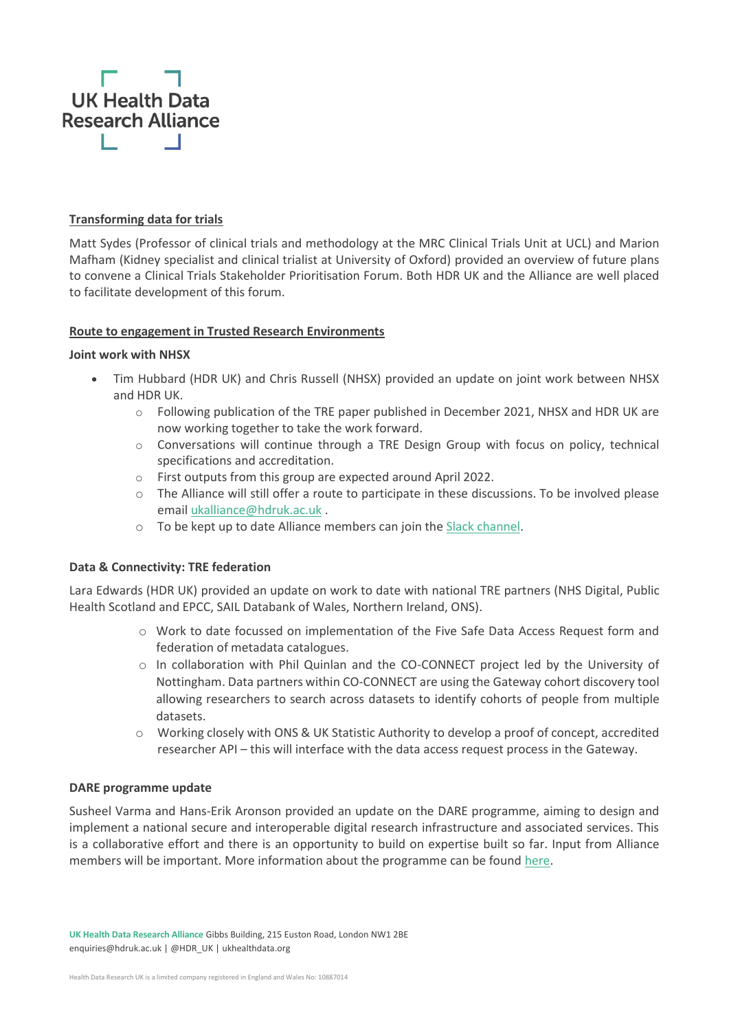

#### **Transforming data for trials**

Matt Sydes (Professor of clinical trials and methodology at the MRC Clinical Trials Unit at UCL) and Marion Mafham (Kidney specialist and clinical trialist at University of Oxford) provided an overview of future plans to convene a Clinical Trials Stakeholder Prioritisation Forum. Both HDR UK and the Alliance are well placed to facilitate development of this forum.

#### **Route to engagement in Trusted Research Environments**

#### **Joint work with NHSX**

- Tim Hubbard (HDR UK) and Chris Russell (NHSX) provided an update on joint work between NHSX and HDR UK.
	- $\circ$  Following publication of the TRE paper published in December 2021, NHSX and HDR UK are now working together to take the work forward.
	- $\circ$  Conversations will continue through a TRE Design Group with focus on policy, technical specifications and accreditation.
	- o First outputs from this group are expected around April 2022.
	- o The Alliance will still offer a route to participate in these discussions. To be involved please email [ukalliance@hdruk.ac.uk](mailto:ukalliance@hdruk.ac.uk) .
	- o To be kept up to date Alliance members can join th[e Slack channel.](https://join.slack.com/share/enQtMzA1MDE0MTgxNjY0NC03OTBhNDQ3MTQ2NzI5YjRiZDlmY2ZhZjBmMDc1YmE2MGM5NDA5YjU4N2QwYjk3ZjkzMWYyNDgzNTM5NWJlMGE3)

#### **Data & Connectivity: TRE federation**

Lara Edwards (HDR UK) provided an update on work to date with national TRE partners (NHS Digital, Public Health Scotland and EPCC, SAIL Databank of Wales, Northern Ireland, ONS).

- o Work to date focussed on implementation of the Five Safe Data Access Request form and federation of metadata catalogues.
- o In collaboration with Phil Quinlan and the CO-CONNECT project led by the University of Nottingham. Data partners within CO-CONNECT are using the Gateway cohort discovery tool allowing researchers to search across datasets to identify cohorts of people from multiple datasets.
- o Working closely with ONS & UK Statistic Authority to develop a proof of concept, accredited researcher API – this will interface with the data access request process in the Gateway.

#### **DARE programme update**

Susheel Varma and Hans-Erik Aronson provided an update on the DARE programme, aiming to design and implement a national secure and interoperable digital research infrastructure and associated services. This is a collaborative effort and there is an opportunity to build on expertise built so far. Input from Alliance members will be important. More information about the programme can be foun[d here.](https://dareuk.org.uk/)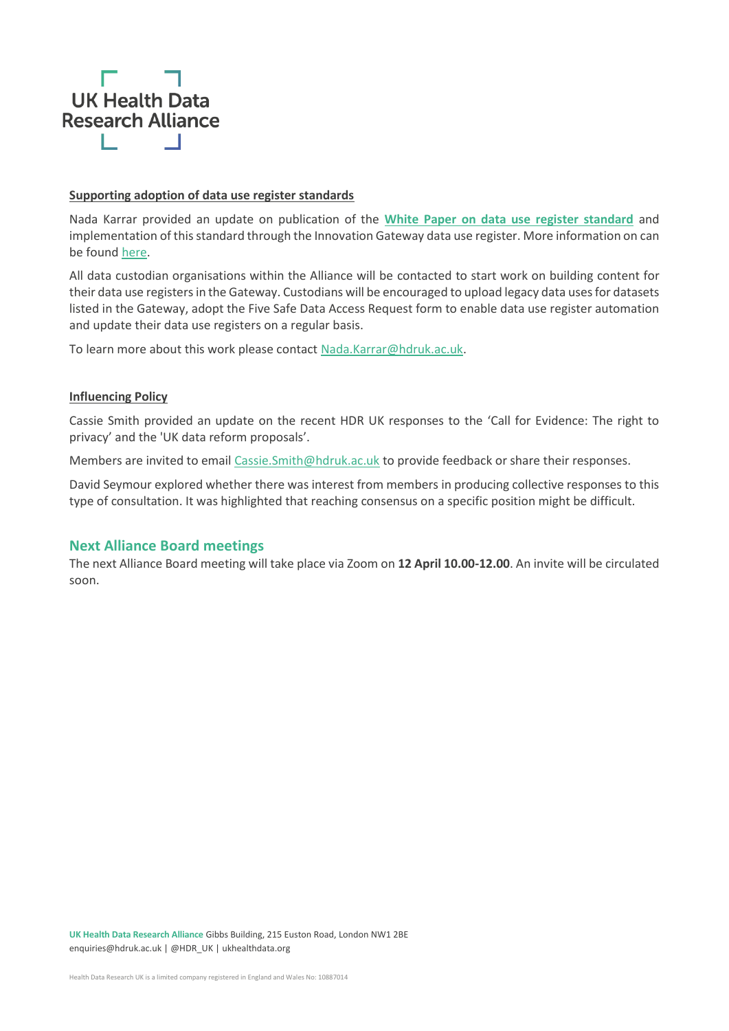

#### **Supporting adoption of data use register standards**

Nada Karrar provided an update on publication of the **[White Paper on data use register standard](https://zenodo.org/record/5902743#.YfsLGOrP02x)** and implementation of this standard through the Innovation Gateway data use register. More information on can be found [here.](https://ukhealthdata.org/news/setting-the-standards-for-transparency-in-the-use-of-health-data/)

All data custodian organisations within the Alliance will be contacted to start work on building content for their data use registers in the Gateway. Custodians will be encouraged to upload legacy data uses for datasets listed in the Gateway, adopt the Five Safe Data Access Request form to enable data use register automation and update their data use registers on a regular basis.

To learn more about this work please contact [Nada.Karrar@hdruk.ac.uk.](mailto:Nada.Karrar@hdruk.ac.uk)

#### **Influencing Policy**

Cassie Smith provided an update on the recent HDR UK responses to the 'Call for Evidence: The right to privacy' and the 'UK data reform proposals'.

Members are invited to email Cassie. Smith@hdruk.ac.uk to provide feedback or share their responses.

David Seymour explored whether there was interest from members in producing collective responses to this type of consultation. It was highlighted that reaching consensus on a specific position might be difficult.

#### **Next Alliance Board meetings**

The next Alliance Board meeting will take place via Zoom on **12 April 10.00-12.00**. An invite will be circulated soon.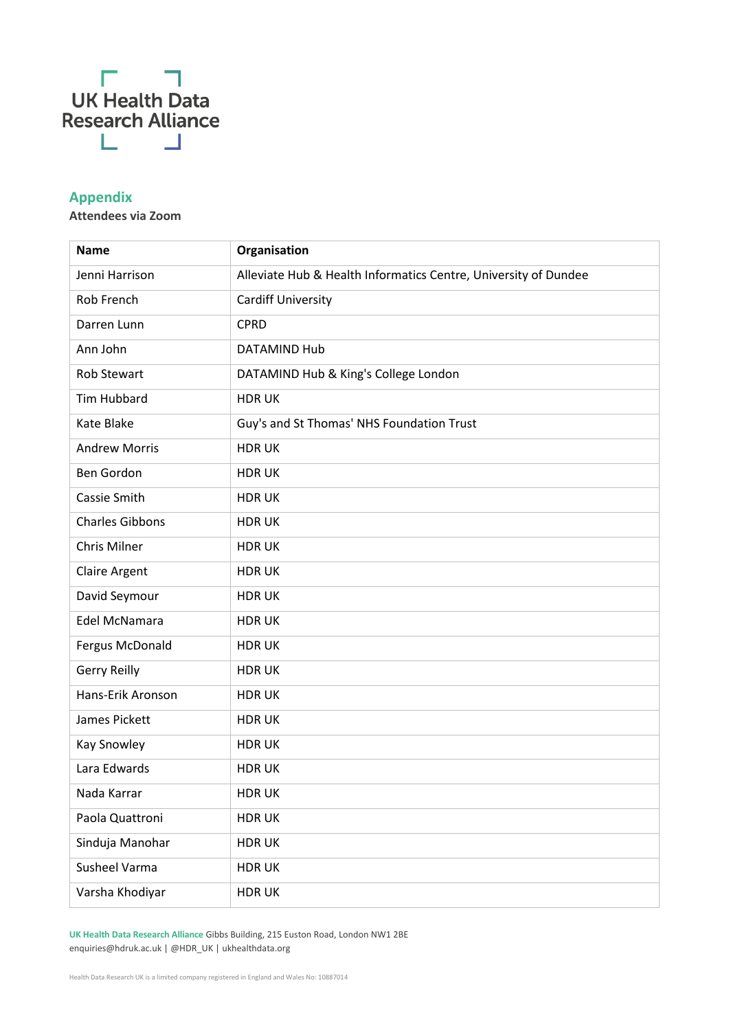

### **Appendix**

**Attendees via Zoom**

| <b>Name</b>            | Organisation                                                    |
|------------------------|-----------------------------------------------------------------|
| Jenni Harrison         | Alleviate Hub & Health Informatics Centre, University of Dundee |
| Rob French             | <b>Cardiff University</b>                                       |
| Darren Lunn            | <b>CPRD</b>                                                     |
| Ann John               | DATAMIND Hub                                                    |
| Rob Stewart            | DATAMIND Hub & King's College London                            |
| <b>Tim Hubbard</b>     | <b>HDRUK</b>                                                    |
| Kate Blake             | Guy's and St Thomas' NHS Foundation Trust                       |
| <b>Andrew Morris</b>   | <b>HDRUK</b>                                                    |
| Ben Gordon             | <b>HDRUK</b>                                                    |
| Cassie Smith           | <b>HDRUK</b>                                                    |
| <b>Charles Gibbons</b> | <b>HDRUK</b>                                                    |
| Chris Milner           | <b>HDRUK</b>                                                    |
| <b>Claire Argent</b>   | <b>HDRUK</b>                                                    |
| David Seymour          | <b>HDRUK</b>                                                    |
| Edel McNamara          | <b>HDRUK</b>                                                    |
| Fergus McDonald        | <b>HDRUK</b>                                                    |
| <b>Gerry Reilly</b>    | <b>HDRUK</b>                                                    |
| Hans-Erik Aronson      | <b>HDRUK</b>                                                    |
| James Pickett          | <b>HDRUK</b>                                                    |
| <b>Kay Snowley</b>     | <b>HDRUK</b>                                                    |
| Lara Edwards           | <b>HDRUK</b>                                                    |
| Nada Karrar            | <b>HDRUK</b>                                                    |
| Paola Quattroni        | <b>HDRUK</b>                                                    |
| Sinduja Manohar        | <b>HDRUK</b>                                                    |
| Susheel Varma          | <b>HDRUK</b>                                                    |
| Varsha Khodiyar        | <b>HDRUK</b>                                                    |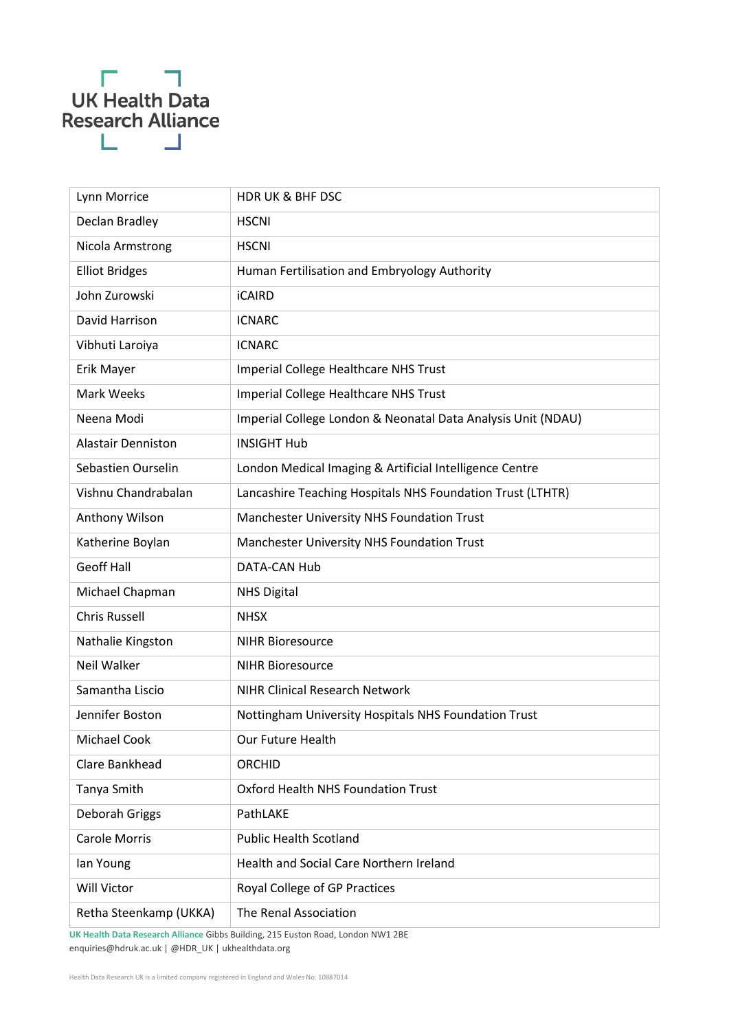## $\Gamma = \Box$ UK Health Data<br>Research Alliance  $\mathbf{L} = \mathbf{L}$

| Lynn Morrice              | <b>HDRUK &amp; BHF DSC</b>                                   |
|---------------------------|--------------------------------------------------------------|
| Declan Bradley            | <b>HSCNI</b>                                                 |
| Nicola Armstrong          | <b>HSCNI</b>                                                 |
| <b>Elliot Bridges</b>     | Human Fertilisation and Embryology Authority                 |
| John Zurowski             | <b>iCAIRD</b>                                                |
| David Harrison            | <b>ICNARC</b>                                                |
| Vibhuti Laroiya           | <b>ICNARC</b>                                                |
| Erik Mayer                | Imperial College Healthcare NHS Trust                        |
| Mark Weeks                | Imperial College Healthcare NHS Trust                        |
| Neena Modi                | Imperial College London & Neonatal Data Analysis Unit (NDAU) |
| <b>Alastair Denniston</b> | <b>INSIGHT Hub</b>                                           |
| Sebastien Ourselin        | London Medical Imaging & Artificial Intelligence Centre      |
| Vishnu Chandrabalan       | Lancashire Teaching Hospitals NHS Foundation Trust (LTHTR)   |
| Anthony Wilson            | Manchester University NHS Foundation Trust                   |
| Katherine Boylan          | Manchester University NHS Foundation Trust                   |
| <b>Geoff Hall</b>         | DATA-CAN Hub                                                 |
| Michael Chapman           | <b>NHS Digital</b>                                           |
| <b>Chris Russell</b>      | <b>NHSX</b>                                                  |
| Nathalie Kingston         | <b>NIHR Bioresource</b>                                      |
| Neil Walker               | <b>NIHR Bioresource</b>                                      |
| Samantha Liscio           | <b>NIHR Clinical Research Network</b>                        |
| Jennifer Boston           | Nottingham University Hospitals NHS Foundation Trust         |
| <b>Michael Cook</b>       | Our Future Health                                            |
| Clare Bankhead            | <b>ORCHID</b>                                                |
| Tanya Smith               | <b>Oxford Health NHS Foundation Trust</b>                    |
| Deborah Griggs            | PathLAKE                                                     |
| <b>Carole Morris</b>      | <b>Public Health Scotland</b>                                |
| lan Young                 | Health and Social Care Northern Ireland                      |
| Will Victor               | Royal College of GP Practices                                |
| Retha Steenkamp (UKKA)    | The Renal Association                                        |